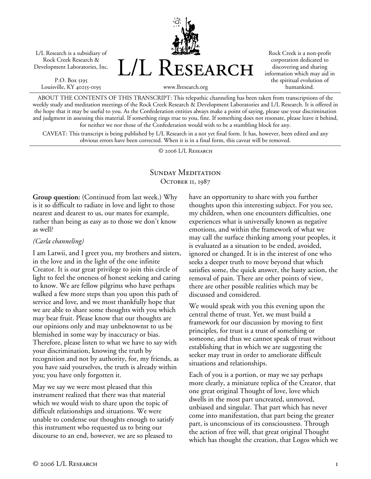L/L Research is a subsidiary of Rock Creek Research & Development Laboratories, Inc.

P.O. Box 5195 Louisville, KY 40255-0195 L/L Research

Rock Creek is a non-profit corporation dedicated to discovering and sharing information which may aid in the spiritual evolution of humankind.

www.llresearch.org

ABOUT THE CONTENTS OF THIS TRANSCRIPT: This telepathic channeling has been taken from transcriptions of the weekly study and meditation meetings of the Rock Creek Research & Development Laboratories and L/L Research. It is offered in the hope that it may be useful to you. As the Confederation entities always make a point of saying, please use your discrimination and judgment in assessing this material. If something rings true to you, fine. If something does not resonate, please leave it behind, for neither we nor those of the Confederation would wish to be a stumbling block for any.

CAVEAT: This transcript is being published by L/L Research in a not yet final form. It has, however, been edited and any obvious errors have been corrected. When it is in a final form, this caveat will be removed.

© 2006 L/L Research

## SUNDAY MEDITATION OCTOBER 11, 1987

**Group question:** (Continued from last week.) Why is it so difficult to radiate in love and light to those nearest and dearest to us, our mates for example, rather than being as easy as to those we don't know as well?

## *(Carla channeling)*

I am Latwii, and I greet you, my brothers and sisters, in the love and in the light of the one infinite Creator. It is our great privilege to join this circle of light to feel the oneness of honest seeking and caring to know. We are fellow pilgrims who have perhaps walked a few more steps than you upon this path of service and love, and we most thankfully hope that we are able to share some thoughts with you which may bear fruit. Please know that our thoughts are our opinions only and may unbeknownst to us be blemished in some way by inaccuracy or bias. Therefore, please listen to what we have to say with your discrimination, knowing the truth by recognition and not by authority, for, my friends, as you have said yourselves, the truth is already within you; you have only forgotten it.

May we say we were most pleased that this instrument realized that there was that material which we would wish to share upon the topic of difficult relationships and situations. We were unable to condense our thoughts enough to satisfy this instrument who requested us to bring our discourse to an end, however, we are so pleased to

have an opportunity to share with you further thoughts upon this interesting subject. For you see, my children, when one encounters difficulties, one experiences what is universally known as negative emotions, and within the framework of what we may call the surface thinking among your peoples, it is evaluated as a situation to be ended, avoided, ignored or changed. It is in the interest of one who seeks a deeper truth to move beyond that which satisfies some, the quick answer, the hasty action, the removal of pain. There are other points of view, there are other possible realities which may be discussed and considered.

We would speak with you this evening upon the central theme of trust. Yet, we must build a framework for our discussion by moving to first principles, for trust is a trust of something or someone, and thus we cannot speak of trust without establishing that in which we are suggesting the seeker may trust in order to ameliorate difficult situations and relationships.

Each of you is a portion, or may we say perhaps more clearly, a miniature replica of the Creator, that one great original Thought of love, love which dwells in the most part uncreated, unmoved, unbiased and singular. That part which has never come into manifestation, that part being the greater part, is unconscious of its consciousness. Through the action of free will, that great original Thought which has thought the creation, that Logos which we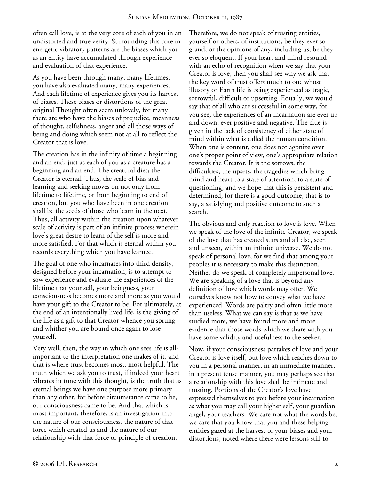often call love, is at the very core of each of you in an undistorted and true verity. Surrounding this core in energetic vibratory patterns are the biases which you as an entity have accumulated through experience and evaluation of that experience.

As you have been through many, many lifetimes, you have also evaluated many, many experiences. And each lifetime of experience gives you its harvest of biases. These biases or distortions of the great original Thought often seem unlovely, for many there are who have the biases of prejudice, meanness of thought, selfishness, anger and all those ways of being and doing which seem not at all to reflect the Creator that is love.

The creation has in the infinity of time a beginning and an end, just as each of you as a creature has a beginning and an end. The creatural dies; the Creator is eternal. Thus, the scale of bias and learning and seeking moves on not only from lifetime to lifetime, or from beginning to end of creation, but you who have been in one creation shall be the seeds of those who learn in the next. Thus, all activity within the creation upon whatever scale of activity is part of an infinite process wherein love's great desire to learn of the self is more and more satisfied. For that which is eternal within you records everything which you have learned.

The goal of one who incarnates into third density, designed before your incarnation, is to attempt to sow experience and evaluate the experiences of the lifetime that your self, your beingness, your consciousness becomes more and more as you would have your gift to the Creator to be. For ultimately, at the end of an intentionally lived life, is the giving of the life as a gift to that Creator whence you sprung and whither you are bound once again to lose yourself.

Very well, then, the way in which one sees life is allimportant to the interpretation one makes of it, and that is where trust becomes most, most helpful. The truth which we ask you to trust, if indeed your heart vibrates in tune with this thought, is the truth that as eternal beings we have one purpose more primary than any other, for before circumstance came to be, our consciousness came to be. And that which is most important, therefore, is an investigation into the nature of our consciousness, the nature of that force which created us and the nature of our relationship with that force or principle of creation.

Therefore, we do not speak of trusting entities, yourself or others, of institutions, be they ever so grand, or the opinions of any, including us, be they ever so eloquent. If your heart and mind resound with an echo of recognition when we say that your Creator is love, then you shall see why we ask that the key word of trust offers much to one whose illusory or Earth life is being experienced as tragic, sorrowful, difficult or upsetting. Equally, we would say that of all who are successful in some way, for you see, the experiences of an incarnation are ever up and down, ever positive and negative. The clue is given in the lack of consistency of either state of mind within what is called the human condition. When one is content, one does not agonize over one's proper point of view, one's appropriate relation towards the Creator. It is the sorrows, the difficulties, the upsets, the tragedies which bring mind and heart to a state of attention, to a state of questioning, and we hope that this is persistent and determined, for there is a good outcome, that is to say, a satisfying and positive outcome to such a search.

The obvious and only reaction to love is love. When we speak of the love of the infinite Creator, we speak of the love that has created stars and all else, seen and unseen, within an infinite universe. We do not speak of personal love, for we find that among your peoples it is necessary to make this distinction. Neither do we speak of completely impersonal love. We are speaking of a love that is beyond any definition of love which words may offer. We ourselves know not how to convey what we have experienced. Words are paltry and often little more than useless. What we can say is that as we have studied more, we have found more and more evidence that those words which we share with you have some validity and usefulness to the seeker.

Now, if your consciousness partakes of love and your Creator is love itself, but love which reaches down to you in a personal manner, in an immediate manner, in a present tense manner, you may perhaps see that a relationship with this love shall be intimate and trusting. Portions of the Creator's love have expressed themselves to you before your incarnation as what you may call your higher self, your guardian angel, your teachers. We care not what the words be; we care that you know that you and these helping entities gazed at the harvest of your biases and your distortions, noted where there were lessons still to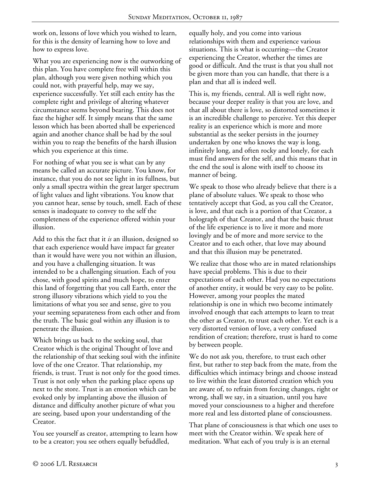work on, lessons of love which you wished to learn, for this is the density of learning how to love and how to express love.

What you are experiencing now is the outworking of this plan. You have complete free will within this plan, although you were given nothing which you could not, with prayerful help, may we say, experience successfully. Yet still each entity has the complete right and privilege of altering whatever circumstance seems beyond bearing. This does not faze the higher self. It simply means that the same lesson which has been aborted shall be experienced again and another chance shall be had by the soul within you to reap the benefits of the harsh illusion which you experience at this time.

For nothing of what you see is what can by any means be called an accurate picture. You know, for instance, that you do not see light in its fullness, but only a small spectra within the great larger spectrum of light values and light vibrations. You know that you cannot hear, sense by touch, smell. Each of these senses is inadequate to convey to the self the completeness of the experience offered within your illusion.

Add to this the fact that it *is* an illusion, designed so that each experience would have impact far greater than it would have were you not within an illusion, and you have a challenging situation. It was intended to be a challenging situation. Each of you chose, with good spirits and much hope, to enter this land of forgetting that you call Earth, enter the strong illusory vibrations which yield to you the limitations of what you see and sense, give to you your seeming separateness from each other and from the truth. The basic goal within any illusion is to penetrate the illusion.

Which brings us back to the seeking soul, that Creator which is the original Thought of love and the relationship of that seeking soul with the infinite love of the one Creator. That relationship, my friends, is trust. Trust is not only for the good times. Trust is not only when the parking place opens up next to the store. Trust is an emotion which can be evoked only by implanting above the illusion of distance and difficulty another picture of what you are seeing, based upon your understanding of the Creator.

You see yourself as creator, attempting to learn how to be a creator; you see others equally befuddled,

equally holy, and you come into various relationships with them and experience various situations. This is what is occurring—the Creator experiencing the Creator, whether the times are good or difficult. And the trust is that you shall not be given more than you can handle, that there is a plan and that all is indeed well.

This is, my friends, central. All is well right now, because your deeper reality is that you are love, and that all about there is love, so distorted sometimes it is an incredible challenge to perceive. Yet this deeper reality is an experience which is more and more substantial as the seeker persists in the journey undertaken by one who knows the way is long, infinitely long, and often rocky and lonely, for each must find answers for the self, and this means that in the end the soul is alone with itself to choose its manner of being.

We speak to those who already believe that there is a plane of absolute values. We speak to those who tentatively accept that God, as you call the Creator, is love, and that each is a portion of that Creator, a holograph of that Creator, and that the basic thrust of the life experience is to live it more and more lovingly and be of more and more service to the Creator and to each other, that love may abound and that this illusion may be penetrated.

We realize that those who are in mated relationships have special problems. This is due to their expectations of each other. Had you no expectations of another entity, it would be very easy to be polite. However, among your peoples the mated relationship is one in which two become intimately involved enough that each attempts to learn to treat the other as Creator, to trust each other. Yet each is a very distorted version of love, a very confused rendition of creation; therefore, trust is hard to come by between people.

We do not ask you, therefore, to trust each other first, but rather to step back from the mate, from the difficulties which intimacy brings and choose instead to live within the least distorted creation which you are aware of, to refrain from forcing changes, right or wrong, shall we say, in a situation, until you have moved your consciousness to a higher and therefore more real and less distorted plane of consciousness.

That plane of consciousness is that which one uses to meet with the Creator within. We speak here of meditation. What each of you truly is is an eternal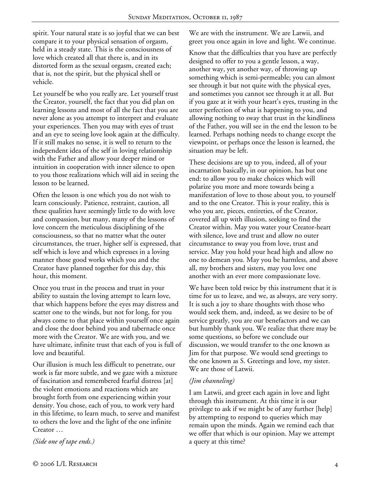spirit. Your natural state is so joyful that we can best compare it to your physical sensation of orgasm, held in a steady state. This is the consciousness of love which created all that there is, and in its distorted form as the sexual orgasm, created each; that is, not the spirit, but the physical shell or vehicle.

Let yourself be who you really are. Let yourself trust the Creator, yourself, the fact that you did plan on learning lessons and most of all the fact that you are never alone as you attempt to interpret and evaluate your experiences. Then you may with eyes of trust and an eye to seeing love look again at the difficulty. If it still makes no sense, it is well to return to the independent idea of the self in loving relationship with the Father and allow your deeper mind or intuition in cooperation with inner silence to open to you those realizations which will aid in seeing the lesson to be learned.

Often the lesson is one which you do not wish to learn consciously. Patience, restraint, caution, all these qualities have seemingly little to do with love and compassion, but many, many of the lessons of love concern the meticulous disciplining of the consciousness, so that no matter what the outer circumstances, the truer, higher self is expressed, that self which is love and which expresses in a loving manner those good works which you and the Creator have planned together for this day, this hour, this moment.

Once you trust in the process and trust in your ability to sustain the loving attempt to learn love, that which happens before the eyes may distress and scatter one to the winds, but not for long, for you always come to that place within yourself once again and close the door behind you and tabernacle once more with the Creator. We are with you, and we have ultimate, infinite trust that each of you is full of love and beautiful.

Our illusion is much less difficult to penetrate, our work is far more subtle, and we gaze with a mixture of fascination and remembered fearful distress [at] the violent emotions and reactions which are brought forth from one experiencing within your density. You chose, each of you, to work very hard in this lifetime, to learn much, to serve and manifest to others the love and the light of the one infinite Creator …

*(Side one of tape ends.)* 

We are with the instrument. We are Latwii, and greet you once again in love and light. We continue.

Know that the difficulties that you have are perfectly designed to offer to you a gentle lesson, a way, another way, yet another way, of throwing up something which is semi-permeable; you can almost see through it but not quite with the physical eyes, and sometimes you cannot see through it at all. But if you gaze at it with your heart's eyes, trusting in the utter perfection of what is happening to you, and allowing nothing to sway that trust in the kindliness of the Father, you will see in the end the lesson to be learned. Perhaps nothing needs to change except the viewpoint, or perhaps once the lesson is learned, the situation may be left.

These decisions are up to you, indeed, all of your incarnation basically, in our opinion, has but one end: to allow you to make choices which will polarize you more and more towards being a manifestation of love to those about you, to yourself and to the one Creator. This is your reality, this is who you are, pieces, entireties, of the Creator, covered all up with illusion, seeking to find the Creator within. May you water your Creator-heart with silence, love and trust and allow no outer circumstance to sway you from love, trust and service. May you hold your head high and allow no one to demean you. May you be harmless, and above all, my brothers and sisters, may you love one another with an ever more compassionate love.

We have been told twice by this instrument that it is time for us to leave, and we, as always, are very sorry. It is such a joy to share thoughts with those who would seek them, and, indeed, as we desire to be of service greatly, you are our benefactors and we can but humbly thank you. We realize that there may be some questions, so before we conclude our discussion, we would transfer to the one known as Jim for that purpose. We would send greetings to the one known as S. Greetings and love, my sister. We are those of Latwii.

## *(Jim channeling)*

I am Latwii, and greet each again in love and light through this instrument. At this time it is our privilege to ask if we might be of any further [help] by attempting to respond to queries which may remain upon the minds. Again we remind each that we offer that which is our opinion. May we attempt a query at this time?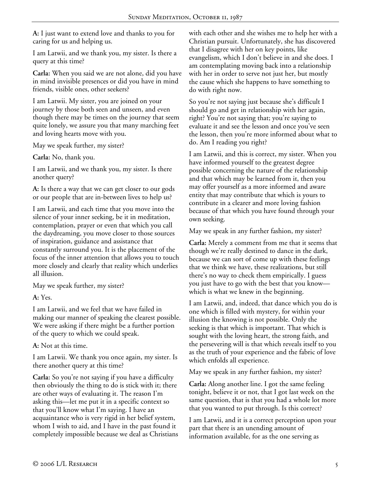**A:** I just want to extend love and thanks to you for caring for us and helping us.

I am Latwii, and we thank you, my sister. Is there a query at this time?

**Carla:** When you said we are not alone, did you have in mind invisible presences or did you have in mind friends, visible ones, other seekers?

I am Latwii. My sister, you are joined on your journey by those both seen and unseen, and even though there may be times on the journey that seem quite lonely, we assure you that many marching feet and loving hearts move with you.

May we speak further, my sister?

**Carla:** No, thank you.

I am Latwii, and we thank you, my sister. Is there another query?

**A:** Is there a way that we can get closer to our gods or our people that are in-between lives to help us?

I am Latwii, and each time that you move into the silence of your inner seeking, be it in meditation, contemplation, prayer or even that which you call the daydreaming, you move closer to those sources of inspiration, guidance and assistance that constantly surround you. It is the placement of the focus of the inner attention that allows you to touch more closely and clearly that reality which underlies all illusion.

May we speak further, my sister?

**A:** Yes.

I am Latwii, and we feel that we have failed in making our manner of speaking the clearest possible. We were asking if there might be a further portion of the query to which we could speak.

**A:** Not at this time.

I am Latwii. We thank you once again, my sister. Is there another query at this time?

**Carla:** So you're not saying if you have a difficulty then obviously the thing to do is stick with it; there are other ways of evaluating it. The reason I'm asking this—let me put it in a specific context so that you'll know what I'm saying. I have an acquaintance who is very rigid in her belief system, whom I wish to aid, and I have in the past found it completely impossible because we deal as Christians with each other and she wishes me to help her with a Christian pursuit. Unfortunately, she has discovered that I disagree with her on key points, like evangelism, which I don't believe in and she does. I am contemplating moving back into a relationship with her in order to serve not just her, but mostly the cause which she happens to have something to do with right now.

So you're not saying just because she's difficult I should go and get in relationship with her again, right? You're not saying that; you're saying to evaluate it and see the lesson and once you've seen the lesson, then you're more informed about what to do. Am I reading you right?

I am Latwii, and this is correct, my sister. When you have informed yourself to the greatest degree possible concerning the nature of the relationship and that which may be learned from it, then you may offer yourself as a more informed and aware entity that may contribute that which is yours to contribute in a clearer and more loving fashion because of that which you have found through your own seeking.

May we speak in any further fashion, my sister?

**Carla:** Merely a comment from me that it seems that though we're really destined to dance in the dark, because we can sort of come up with these feelings that we think we have, these realizations, but still there's no way to check them empirically. I guess you just have to go with the best that you know which is what we knew in the beginning.

I am Latwii, and, indeed, that dance which you do is one which is filled with mystery, for within your illusion the knowing is not possible. Only the seeking is that which is important. That which is sought with the loving heart, the strong faith, and the persevering will is that which reveals itself to you as the truth of your experience and the fabric of love which enfolds all experience.

May we speak in any further fashion, my sister?

**Carla:** Along another line. I got the same feeling tonight, believe it or not, that I got last week on the same question, that is that you had a whole lot more that you wanted to put through. Is this correct?

I am Latwii, and it is a correct perception upon your part that there is an unending amount of information available, for as the one serving as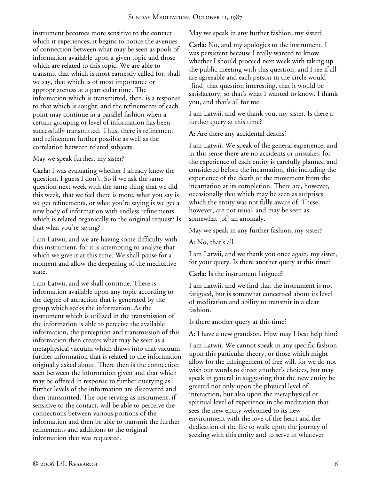instrument becomes more sensitive to the contact which it experiences, it begins to notice the avenues of connection between what may be seen as pools of information available upon a given topic and those which are related to this topic. We are able to transmit that which is most earnestly called for, shall we say, that which is of most importance or appropriateness at a particular time. The information which is transmitted, then, is a response to that which is sought, and the refinements of each point may continue in a parallel fashion when a certain grouping or level of information has been successfully transmitted. Thus, there is refinement and refinement further possible as well as the correlation between related subjects.

May we speak further, my sister?

**Carla:** I was evaluating whether I already knew the question. I guess I don't. So if we ask the same question next week with the same thing that we did this week, that we feel there is more, what you say is we get refinements, or what you're saying is we get a new body of information with endless refinements which is related organically to the original request? Is that what you're saying?

I am Latwii, and we are having some difficulty with this instrument, for it is attempting to analyze that which we give it at this time. We shall pause for a moment and allow the deepening of the meditative state.

I am Latwii, and we shall continue. There is information available upon any topic according to the degree of attraction that is generated by the group which seeks the information. As the instrument which is utilized in the transmission of the information is able to perceive the available information, the perception and transmission of this information then creates what may be seen as a metaphysical vacuum which draws into that vacuum further information that is related to the information originally asked about. There then is the connection seen between the information given and that which may be offered in response to further querying as further levels of the information are discovered and then transmitted. The one serving as instrument, if sensitive to the contact, will be able to perceive the connections between various portions of the information and then be able to transmit the further refinements and additions to the original information that was requested.

May we speak in any further fashion, my sister?

**Carla:** No, and my apologies to the instrument. I was persistent because I really wanted to know whether I should proceed next week with taking up the public meeting with this question, and I see if all are agreeable and each person in the circle would [find] that question interesting, that it would be satisfactory, so that's what I wanted to know. I thank you, and that's all for me.

I am Latwii, and we thank you, my sister. Is there a further query at this time?

**A:** Are there any accidental deaths?

I am Latwii. We speak of the general experience, and in this sense there are no accidents or mistakes, for the experience of each entity is carefully planned and considered before the incarnation, this including the experience of the death or the movement from the incarnation at its completion. There are, however, occasionally that which may be seen as surprises which the entity was not fully aware of. These, however, are not usual, and may be seen as somewhat [of] an anomaly.

May we speak in any further fashion, my sister?

**A:** No, that's all.

I am Latwii, and we thank you once again, my sister, for your query. Is there another query at this time?

**Carla:** Is the instrument fatigued?

I am Latwii, and we find that the instrument is not fatigued, but is somewhat concerned about its level of meditation and ability to transmit in a clear fashion.

Is there another query at this time?

**A:** I have a new grandson. How may I best help him?

I am Latwii. We cannot speak in any specific fashion upon this particular theory, or those which might allow for the infringement of free will, for we do not wish our words to direct another's choices, but may speak in general in suggesting that the new entity be greeted not only upon the physical level of interaction, but also upon the metaphysical or spiritual level of experience in the meditation that sees the new entity welcomed to its new environment with the love of the heart and the dedication of the life to walk upon the journey of seeking with this entity and to serve in whatever